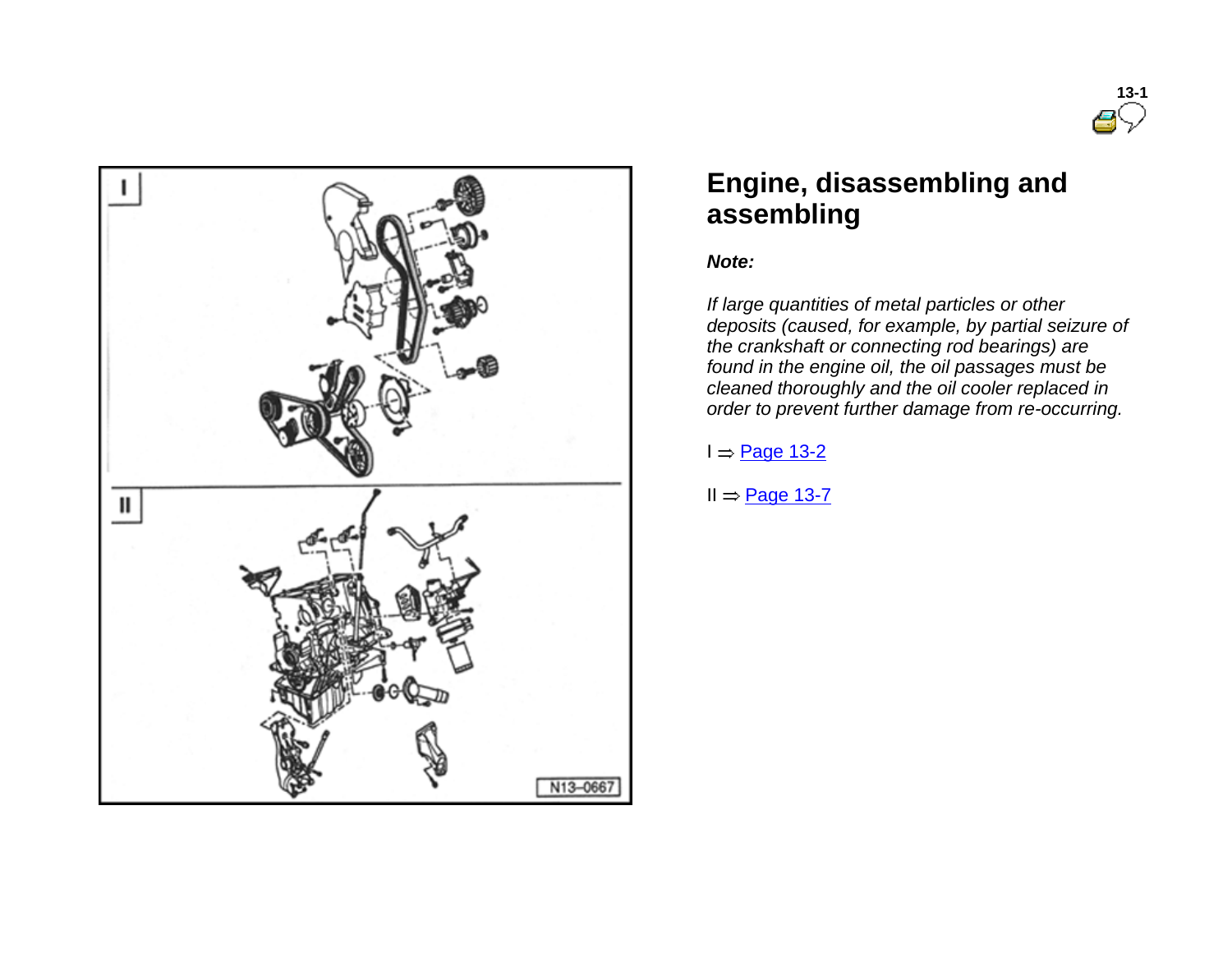



# **Engine, disassembling and assembling**

#### *Note:*

*If large quantities of metal particles or other deposits (caused, for example, by partial seizure of the crankshaft or connecting rod bearings) are found in the engine oil, the oil passages must be cleaned thoroughly and the oil cooler replaced in order to prevent further damage from re-occurring.*

#### $I \Rightarrow$  Page 13-2

 $II = \underline{Page 13-7}$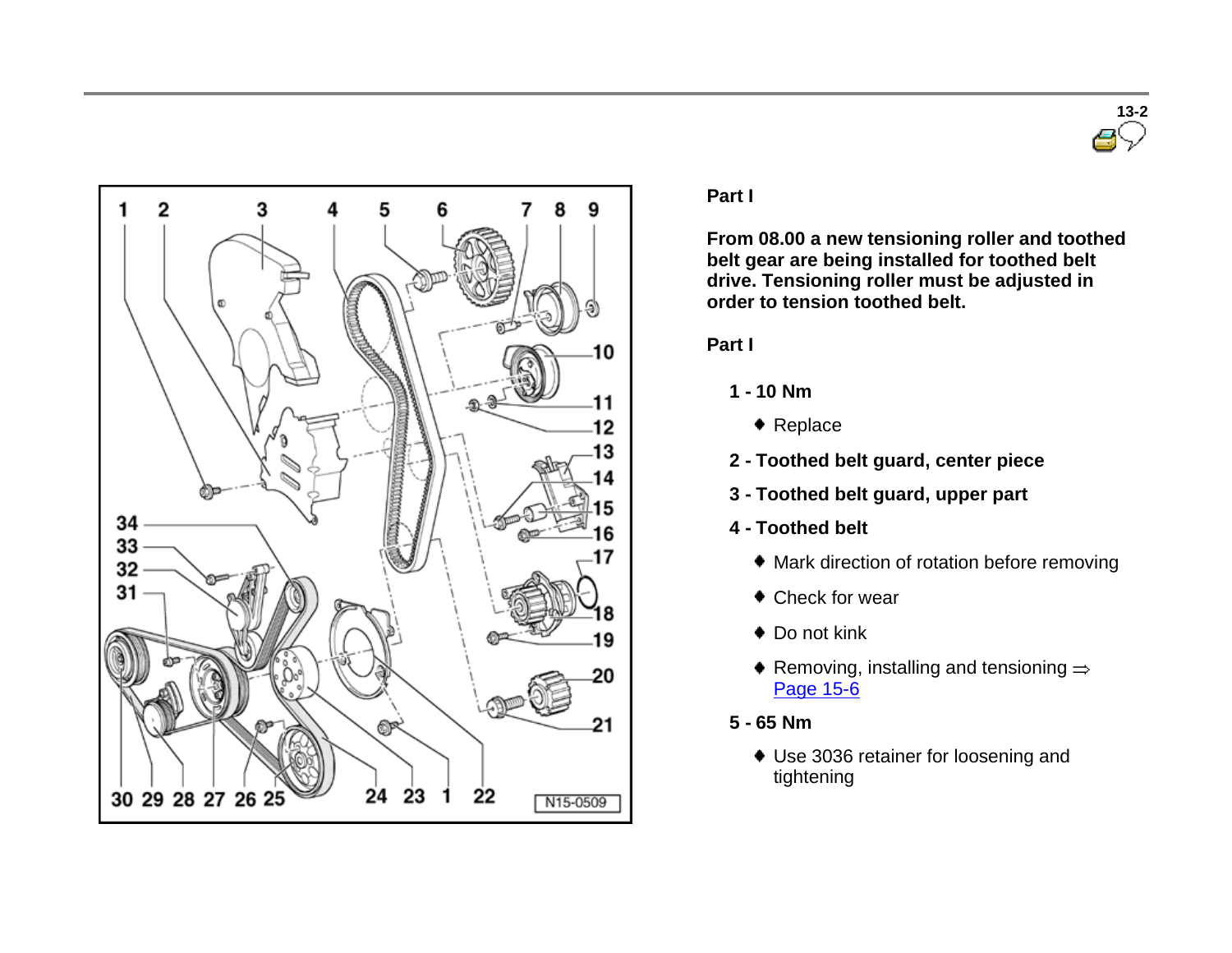



#### **Part I**

**From 08.00 a new tensioning roller and toothed belt gear are being installed for toothed belt drive. Tensioning roller must be adjusted in order to tension toothed belt.** 

#### **Part I**

- **1 - 10 Nm**
	- ◆ Replace
- **2 - Toothed belt guard, center piece**
- **3 - Toothed belt guard, upper part**
- **4 - Toothed belt**
	- Mark direction of rotation before removing
	- Check for wear
	- ◆ Do not kink
	- Removing, installing and tensioning  $\Rightarrow$ Page 15-6
- **5 - 65 Nm**
	- Use 3036 retainer for loosening and tightening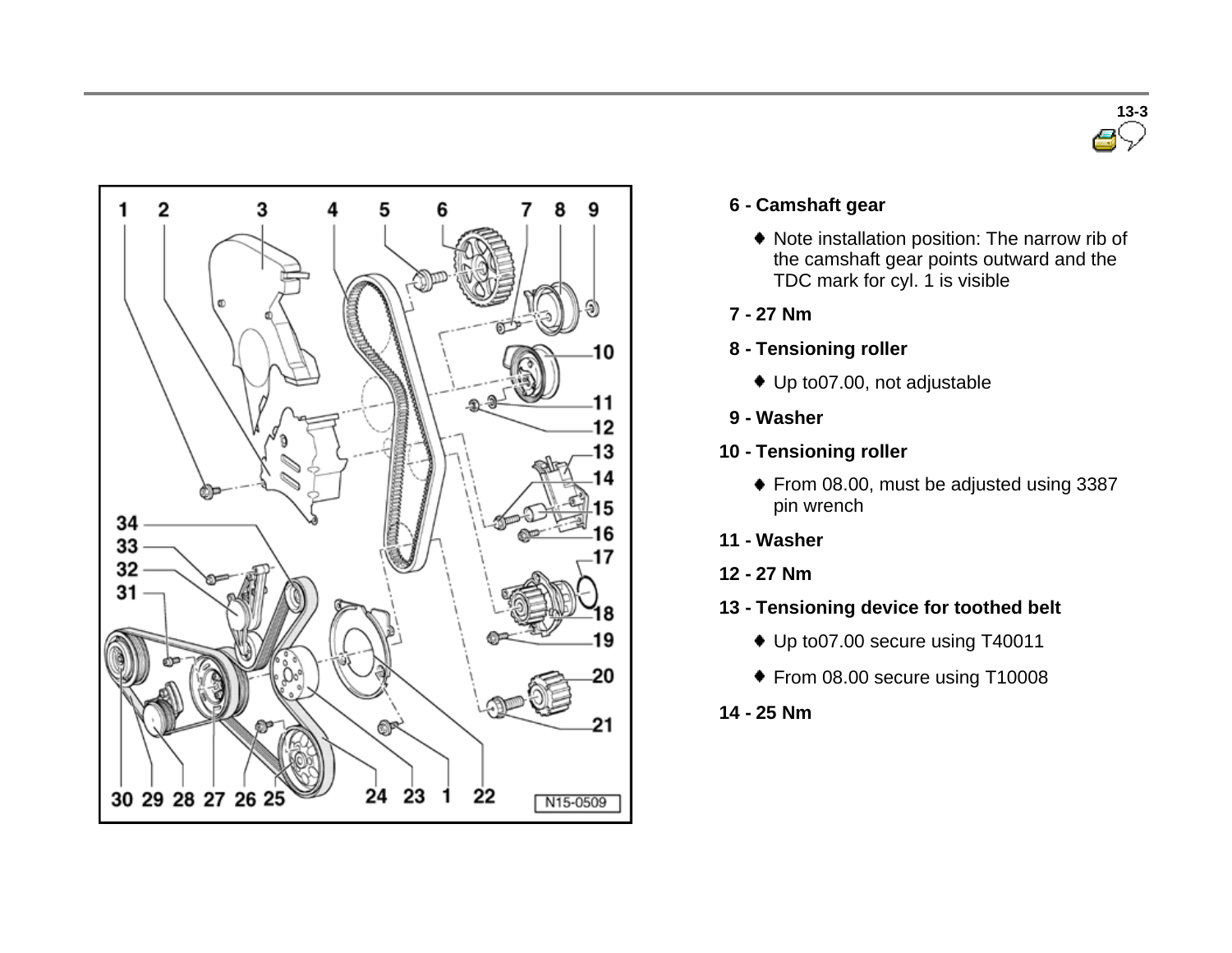



### **6 - Camshaft gear**

- Note installation position: The narrow rib of the camshaft gear points outward and the TDC mark for cyl. 1 is visible
- **7 - 27 Nm**
- **8 - Tensioning roller**
	- Up to07.00, not adjustable
- **9 - Washer**
- **10 - Tensioning roller**
	- ◆ From 08.00, must be adjusted using 3387 pin wrench
- **11 - Washer**
- **12 - 27 Nm**
- **13 - Tensioning device for toothed belt**
	- ◆ Up to07.00 secure using T40011
	- ◆ From 08.00 secure using T10008
- **14 - 25 Nm**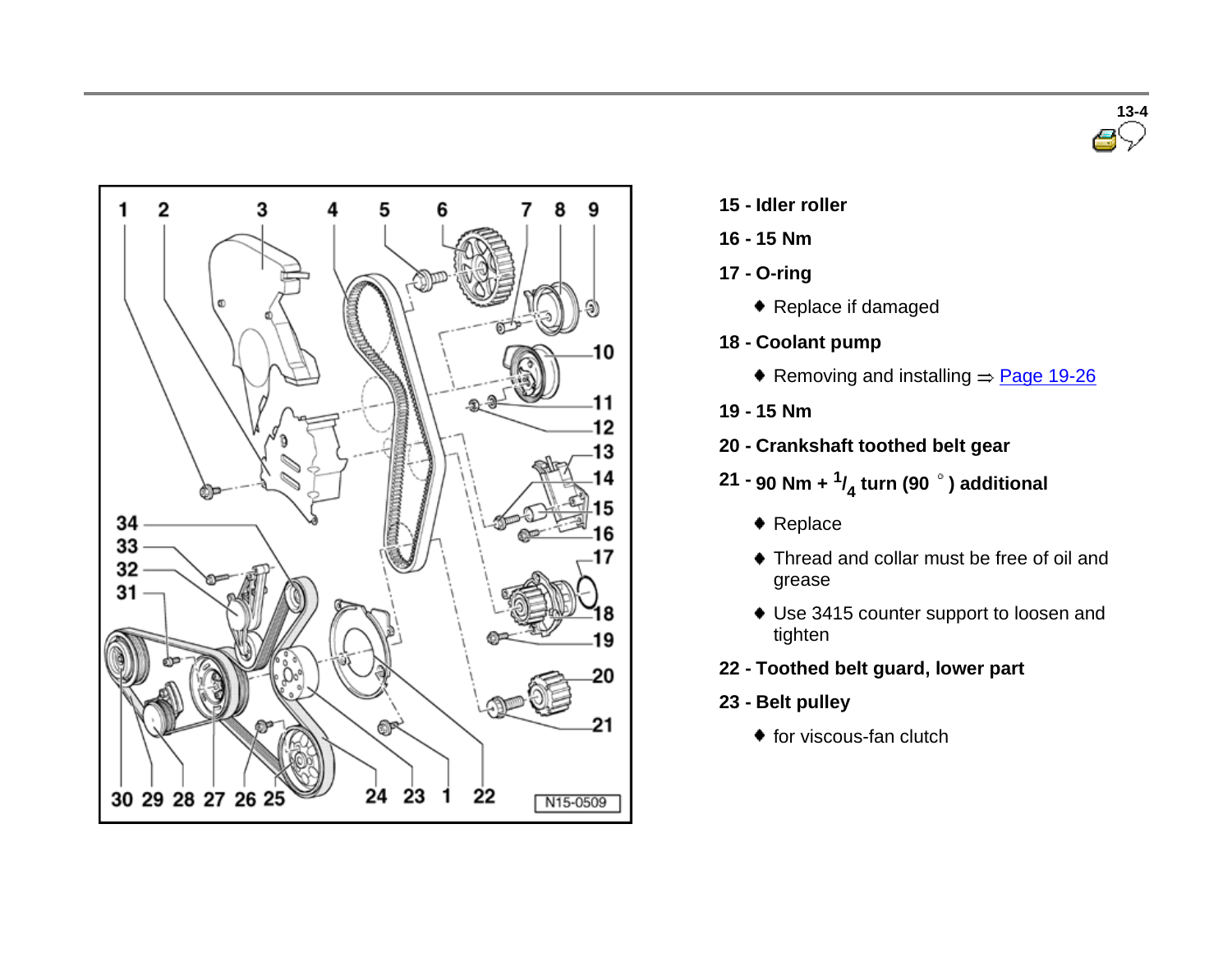



- **15 - Idler roller**
- **16 - 15 Nm**
- **17 - O-ring**
	- ◆ Replace if damaged
- **18 - Coolant pump**
	- Removing and installing  $\Rightarrow$  Page 19-26
- **19 - 15 Nm**
- **20 - Crankshaft toothed belt gear**
- **21 - 90 Nm + <sup>1</sup> / 4 turn (90 ) additional**
	- ◆ Replace
	- Thread and collar must be free of oil and grease
	- Use 3415 counter support to loosen and tighten
- **22 - Toothed belt guard, lower part**
- **23 - Belt pulley**
	- $\bullet$  for viscous-fan clutch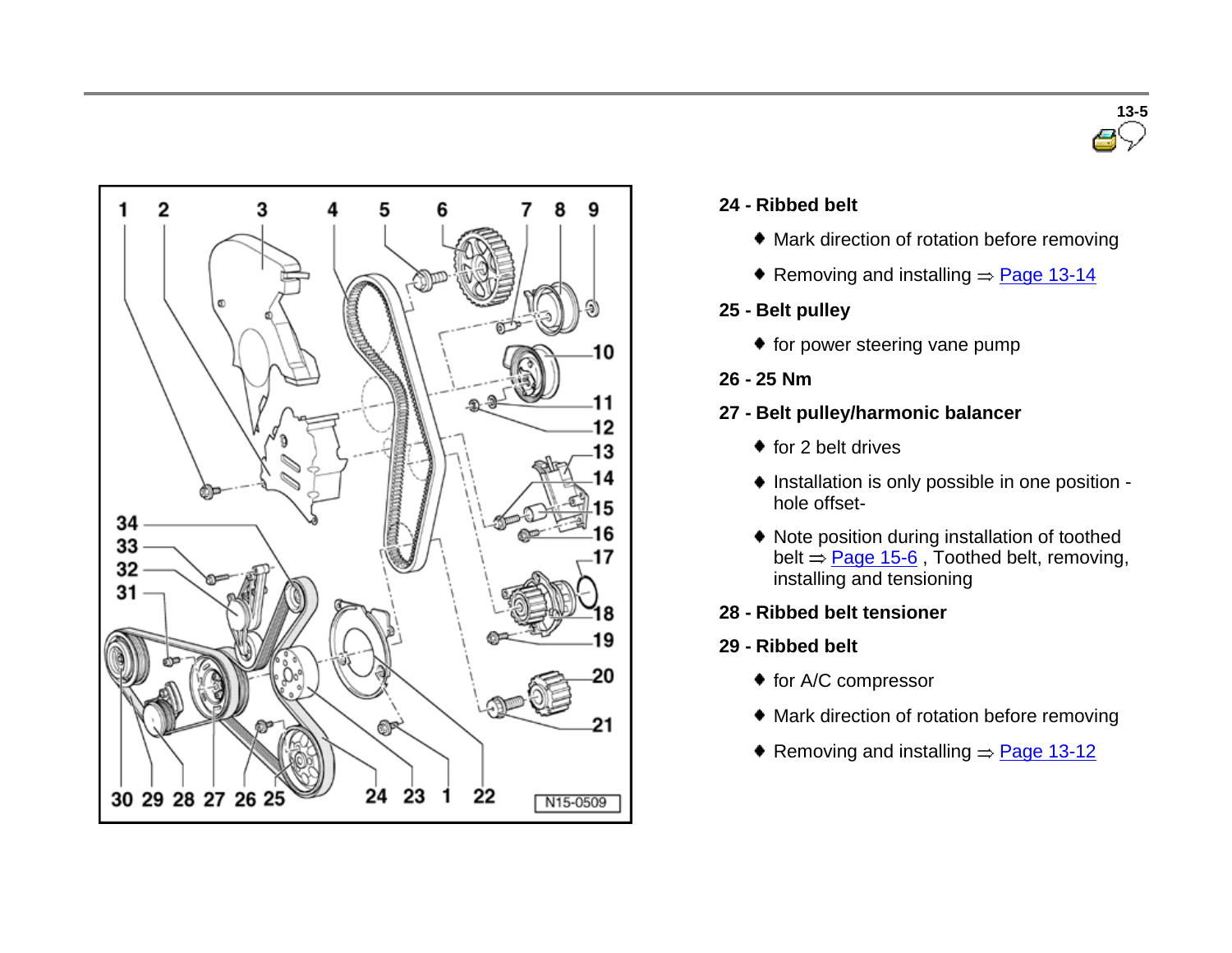



### **24 - Ribbed belt**

- Mark direction of rotation before removing
- Removing and installing  $\Rightarrow$  Page 13-14
- **25 - Belt pulley**
	- for power steering vane pump
- **26 - 25 Nm**
- **27 - Belt pulley/harmonic balancer**
	- $\bullet$  for 2 belt drives
	- $\bullet$  Installation is only possible in one position hole offset-
	- Note position during installation of toothed belt  $=$  Page 15-6, Toothed belt, removing, installing and tensioning
- **28 - Ribbed belt tensioner**
- **29 - Ribbed belt**
	- ◆ for A/C compressor
	- Mark direction of rotation before removing
	- Removing and installing  $=$  Page 13-12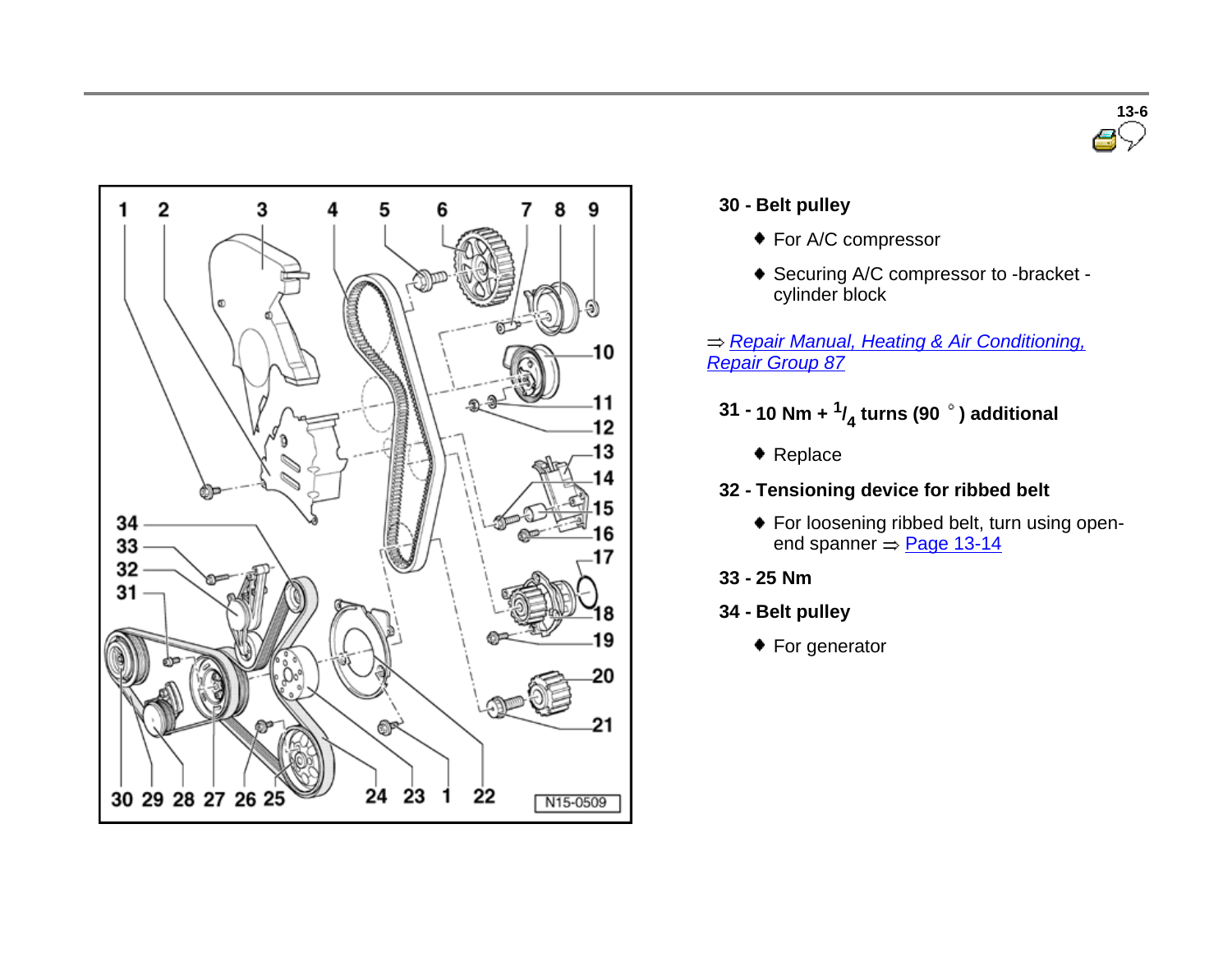



# **30 - Belt pulley**

- ◆ For A/C compressor
- ◆ Securing A/C compressor to -bracket cylinder block

*Repair Manual, Heating & Air Conditioning, Repair Group 87*

- **31 - 10 Nm + <sup>1</sup> / 4 turns (90 ) additional**
	- ◆ Replace
- **32 - Tensioning device for ribbed belt**
	- For loosening ribbed belt, turn using openend spanner  $\Rightarrow$  Page 13-14
- **33 - 25 Nm**
- **34 - Belt pulley**
	- ◆ For generator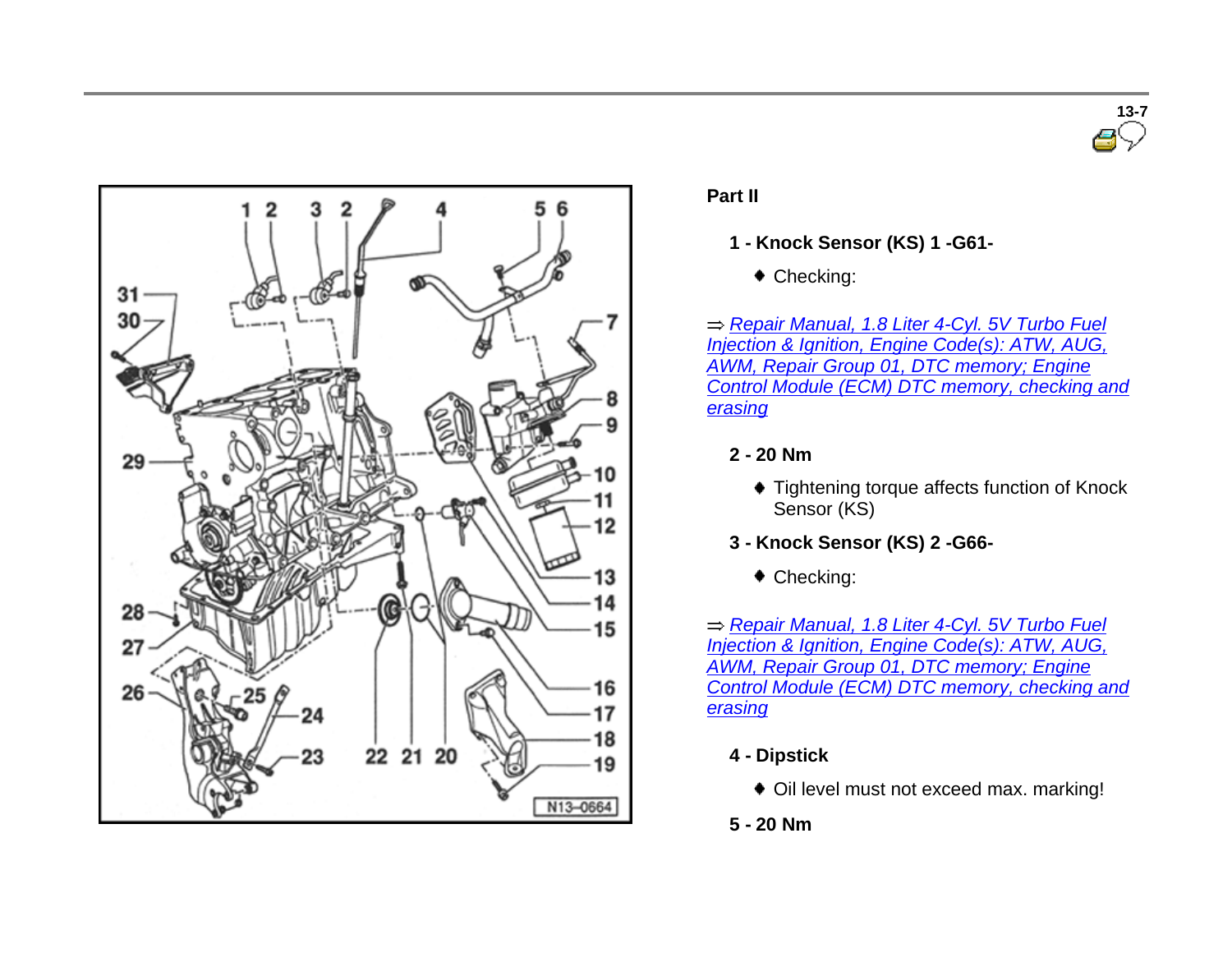



# **Part II**

- **1 - Knock Sensor (KS) 1 -G61-**
	- ◆ Checking:

*Repair Manual, 1.8 Liter 4-Cyl. 5V Turbo Fuel Injection & Ignition, Engine Code(s): ATW, AUG, AWM, Repair Group 01, DTC memory; Engine Control Module (ECM) DTC memory, checking and erasing*

# **2 - 20 Nm**

- ◆ Tightening torque affects function of Knock Sensor (KS)
- **3 - Knock Sensor (KS) 2 -G66-**
	- ◆ Checking:

*Repair Manual, 1.8 Liter 4-Cyl. 5V Turbo Fuel Injection & Ignition, Engine Code(s): ATW, AUG, AWM, Repair Group 01, DTC memory; Engine Control Module (ECM) DTC memory, checking and erasing*

- **4 - Dipstick**
	- Oil level must not exceed max. marking!
- **5 - 20 Nm**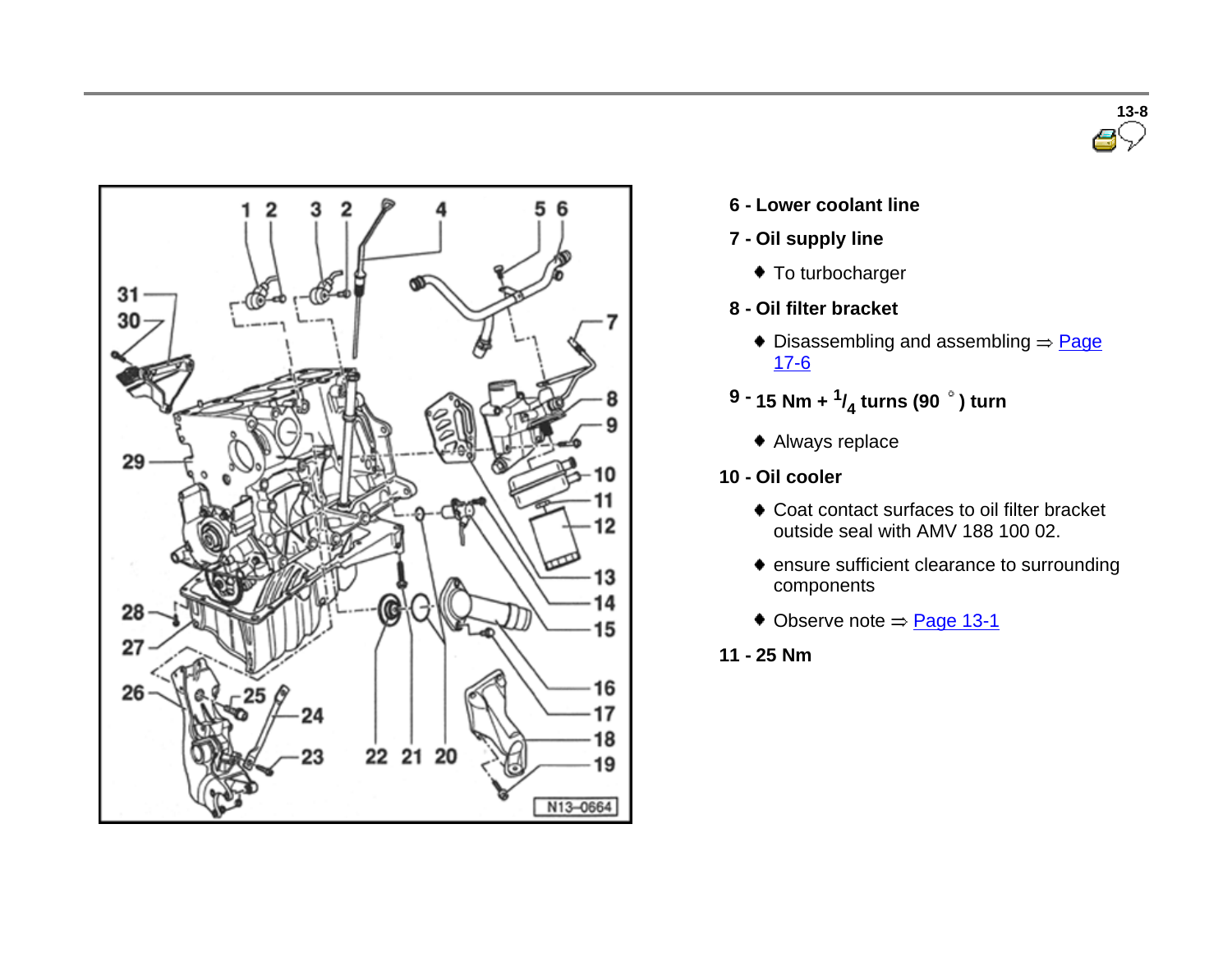



- **6 - Lower coolant line**
- **7 - Oil supply line**
	- ◆ To turbocharger
- **8 - Oil filter bracket**
	- $\bullet$  Disassembling and assembling  $\Rightarrow$  Page 17-6
- **9 - 15 Nm + <sup>1</sup> / 4 turns (90 ) turn**
	- Always replace
- **10 - Oil cooler**
	- Coat contact surfaces to oil filter bracket outside seal with AMV 188 100 02.
	- ensure sufficient clearance to surrounding components
	- $\bullet$  Observe note  $=$  Page 13-1
- **11 - 25 Nm**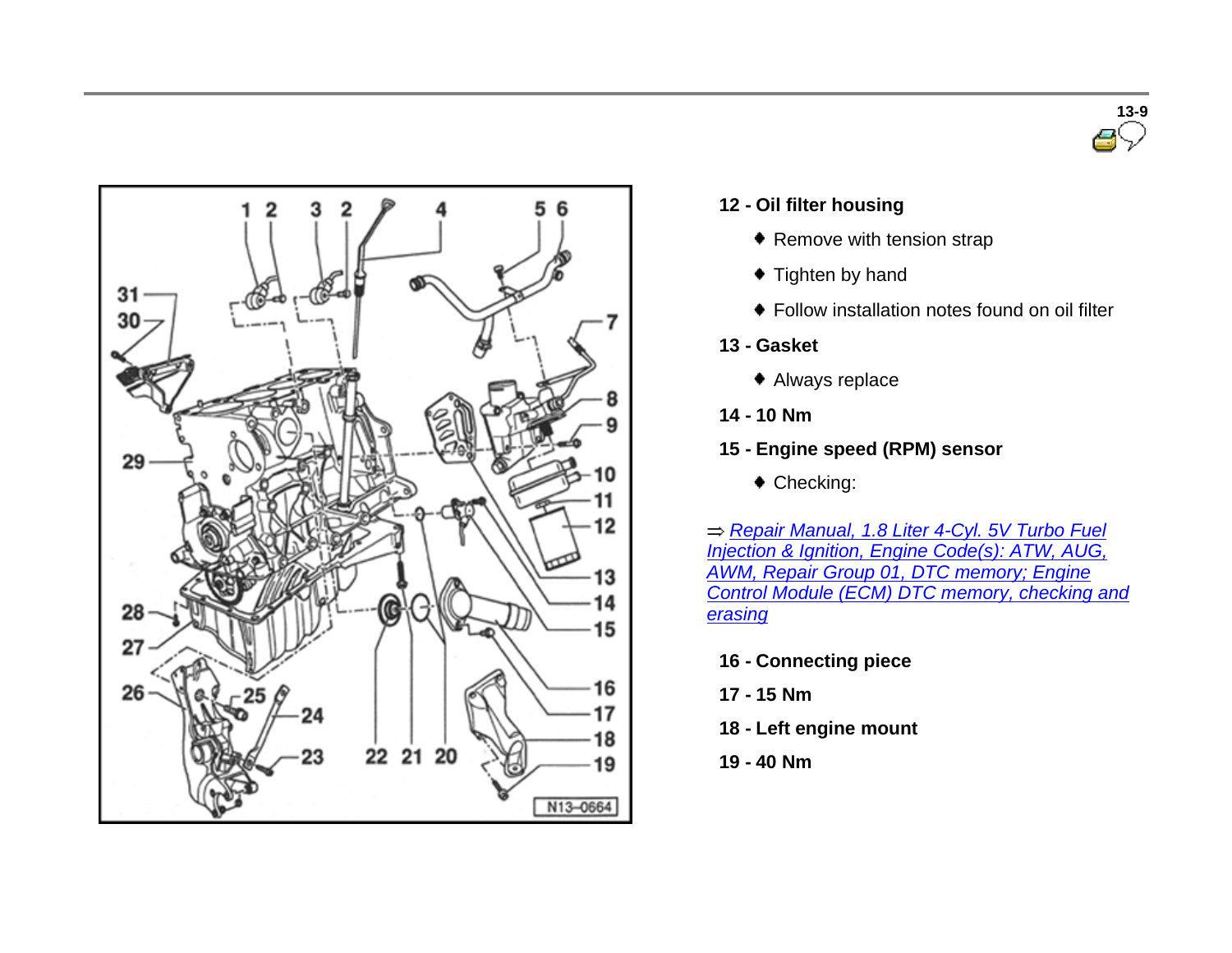



#### **12 - Oil filter housing**

- ◆ Remove with tension strap
- $\bullet$  Tighten by hand
- Follow installation notes found on oil filter
- **13 - Gasket**
	- Always replace
- **14 - 10 Nm**
- **15 - Engine speed (RPM) sensor**
	- ◆ Checking:

*Repair Manual, 1.8 Liter 4-Cyl. 5V Turbo Fuel Injection & Ignition, Engine Code(s): ATW, AUG, AWM, Repair Group 01, DTC memory; Engine Control Module (ECM) DTC memory, checking and erasing*

- **16 - Connecting piece**
- **17 - 15 Nm**
- **18 - Left engine mount**
- **19 - 40 Nm**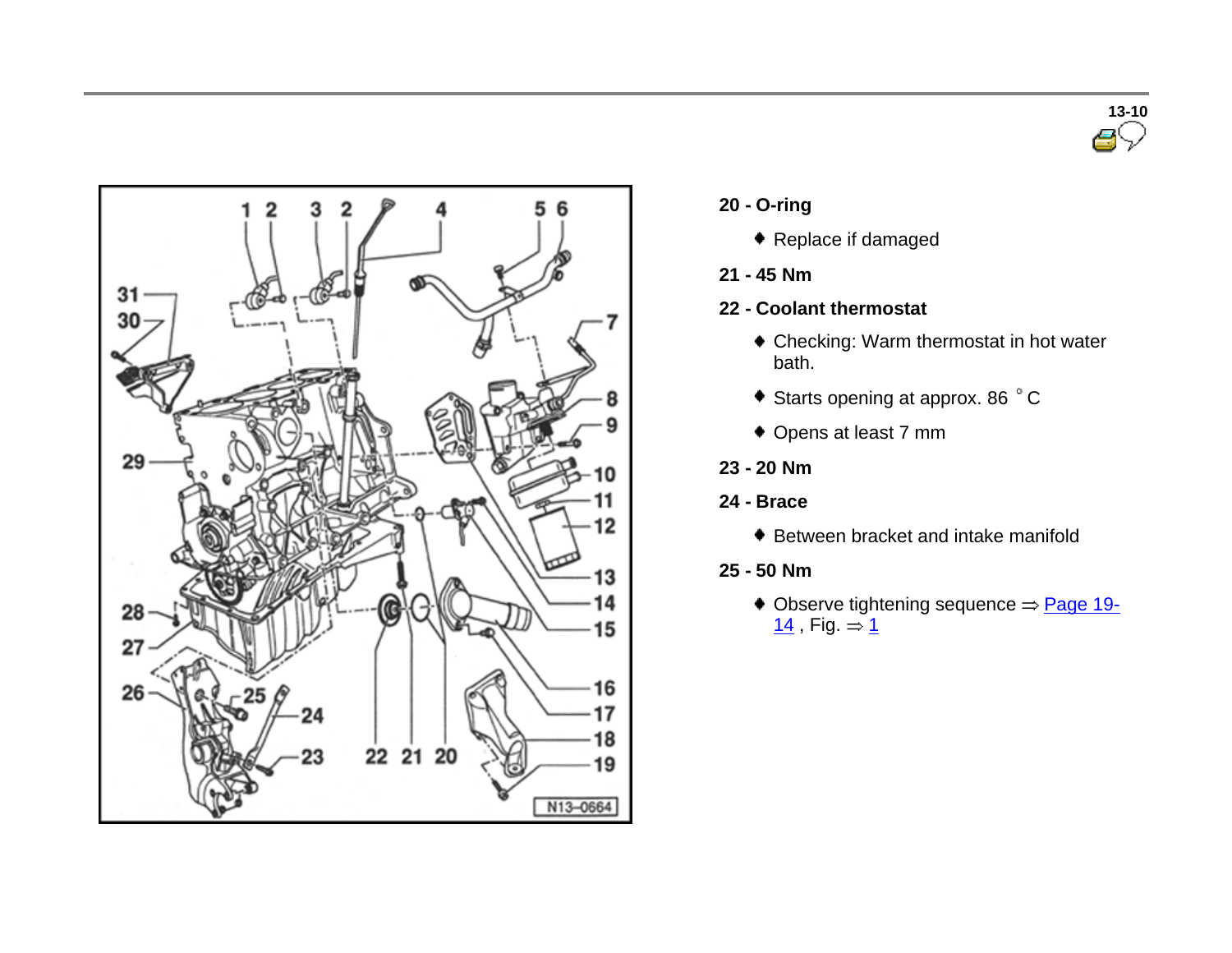



- **20 - O-ring**
	- ◆ Replace if damaged
- **21 - 45 Nm**
- **22 - Coolant thermostat**
	- Checking: Warm thermostat in hot water bath.
	- $\bullet$  Starts opening at approx. 86  $\degree$  C
	- Opens at least 7 mm
- **23 - 20 Nm**
- **24 - Brace**
	- ♦ Between bracket and intake manifold
- **25 - 50 Nm**
	- $\triangle$  Observe tightening sequence  $\Rightarrow$  Page 19- $14$ , Fig.  $= 1$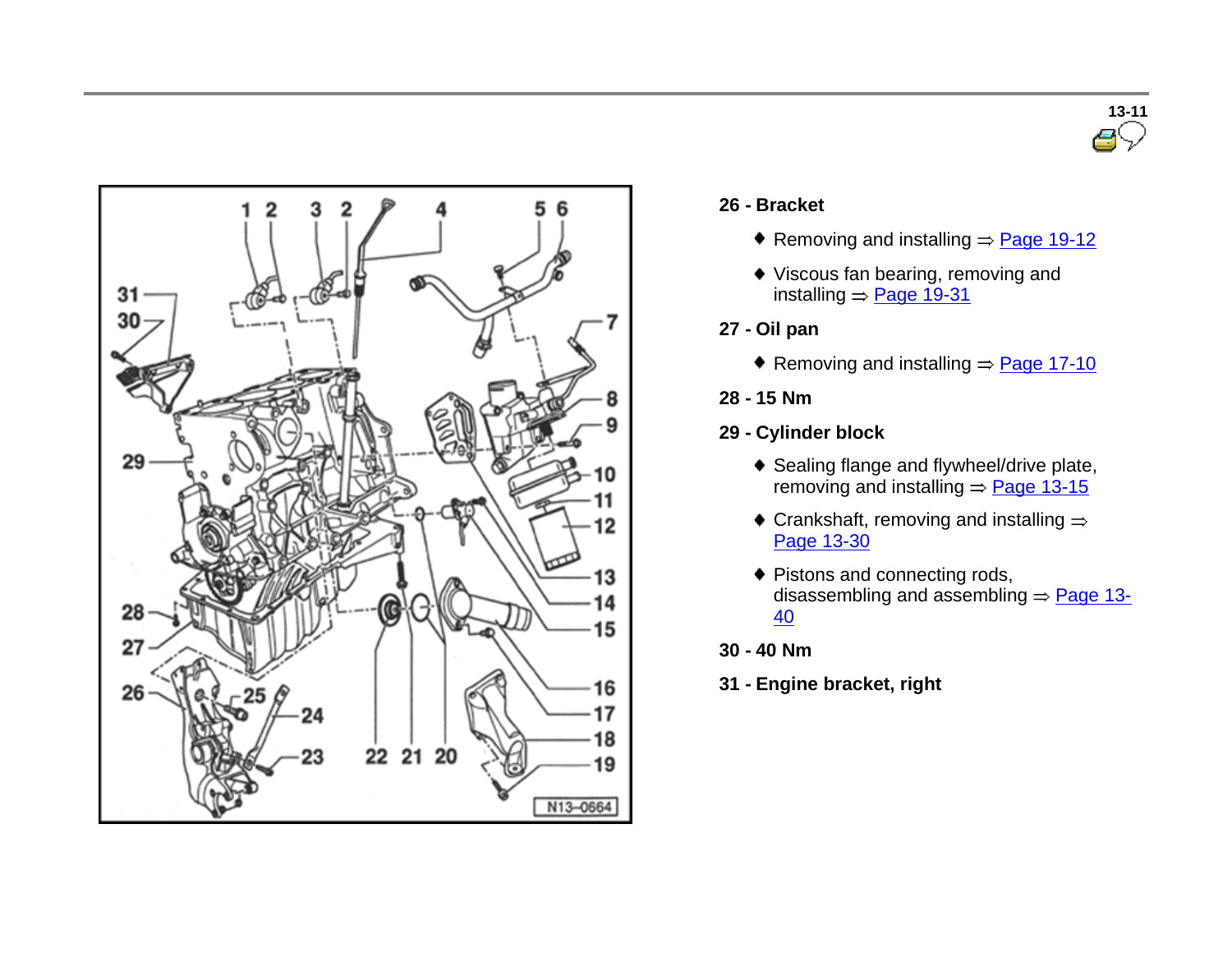



#### **26 - Bracket**

- Removing and installing  $\Rightarrow$  Page 19-12
- Viscous fan bearing, removing and installing  $=$  Page 19-31
- **27 - Oil pan**
	- Removing and installing  $=$  Page 17-10
- **28 - 15 Nm**
- **29 - Cylinder block**
	- ◆ Sealing flange and flywheel/drive plate, removing and installing  $=$  Page 13-15
	- $\bullet$  Crankshaft, removing and installing  $\Rightarrow$ Page 13-30
	- ◆ Pistons and connecting rods, disassembling and assembling  $\Rightarrow$  Page 13-40
- **30 - 40 Nm**
- **31 - Engine bracket, right**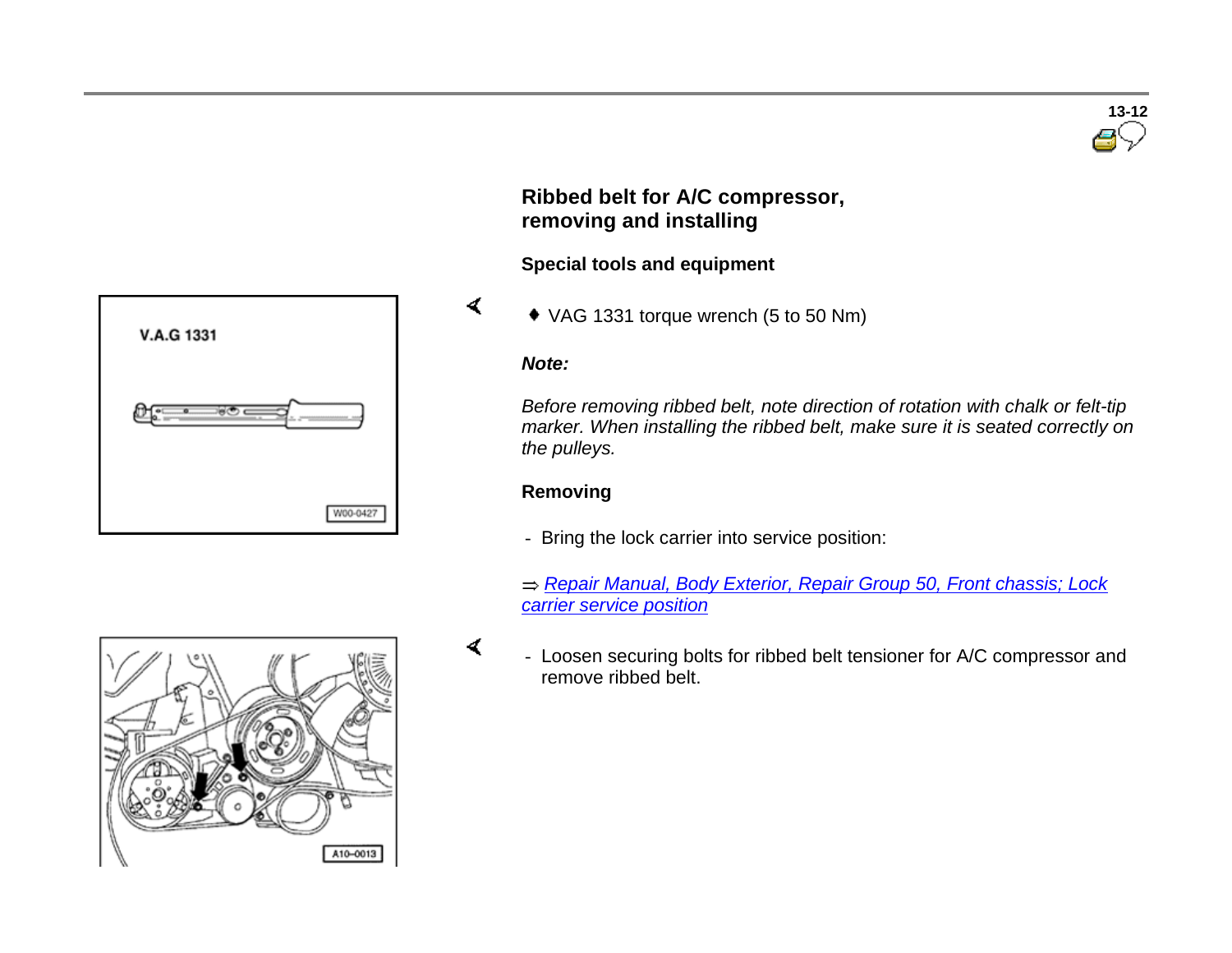

# **Ribbed belt for A/C compressor, removing and installing**

# **Special tools and equipment**

VAG 1331 torque wrench (5 to 50 Nm)

### *Note:*

 $\blacktriangleleft$ 

 $\prec$ 

*Before removing ribbed belt, note direction of rotation with chalk or felt-tip marker. When installing the ribbed belt, make sure it is seated correctly on the pulleys.*

# **Removing**

- Bring the lock carrier into service position:

*Repair Manual, Body Exterior, Repair Group 50, Front chassis; Lock carrier service position*



 - Loosen securing bolts for ribbed belt tensioner for A/C compressor and remove ribbed belt.

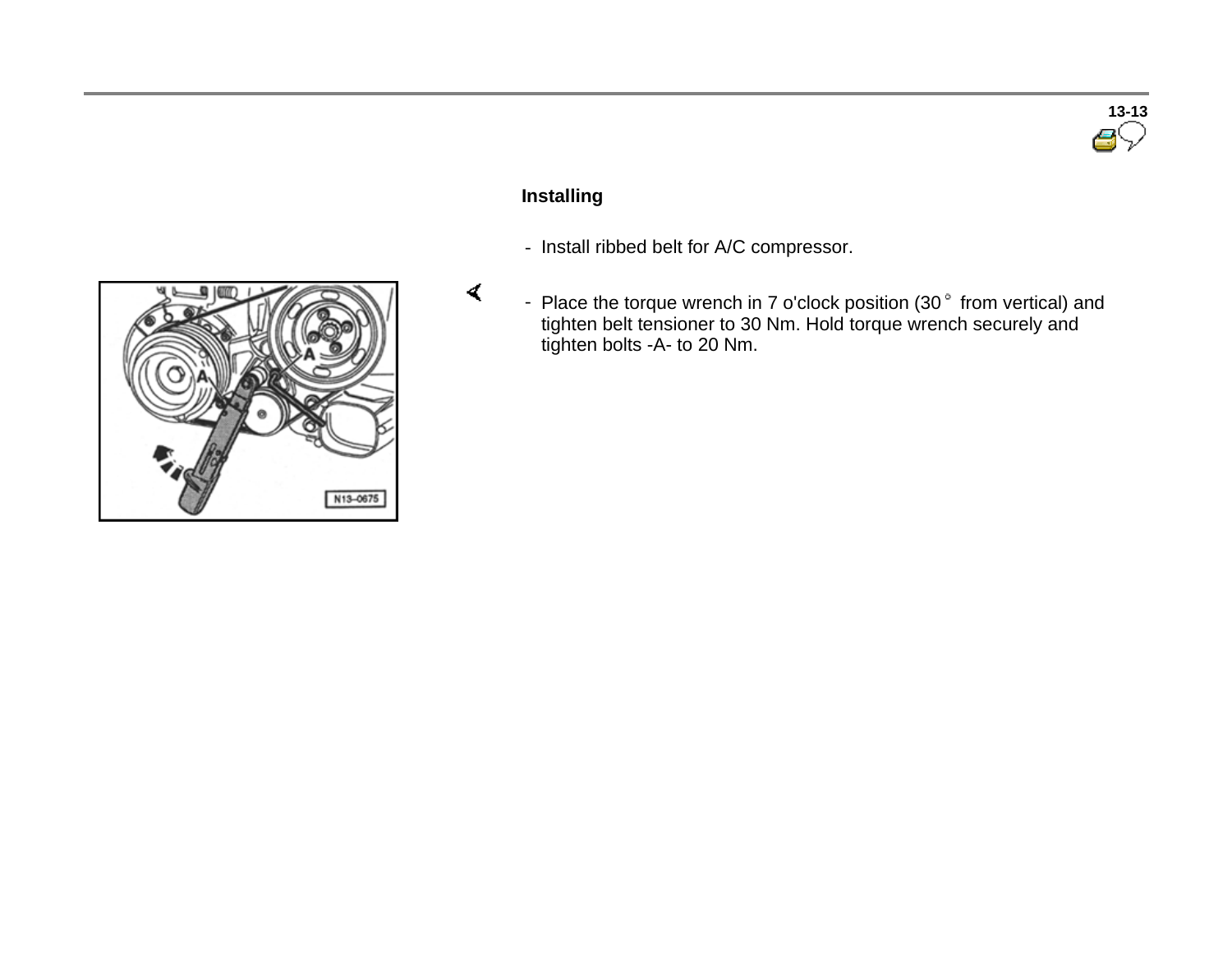# **13-13**

# **Installing**

- Install ribbed belt for A/C compressor.
- Place the torque wrench in 7 o'clock position  $(30<sup>°</sup>$  from vertical) and tighten belt tensioner to 30 Nm. Hold torque wrench securely and tighten bolts -A- to 20 Nm.